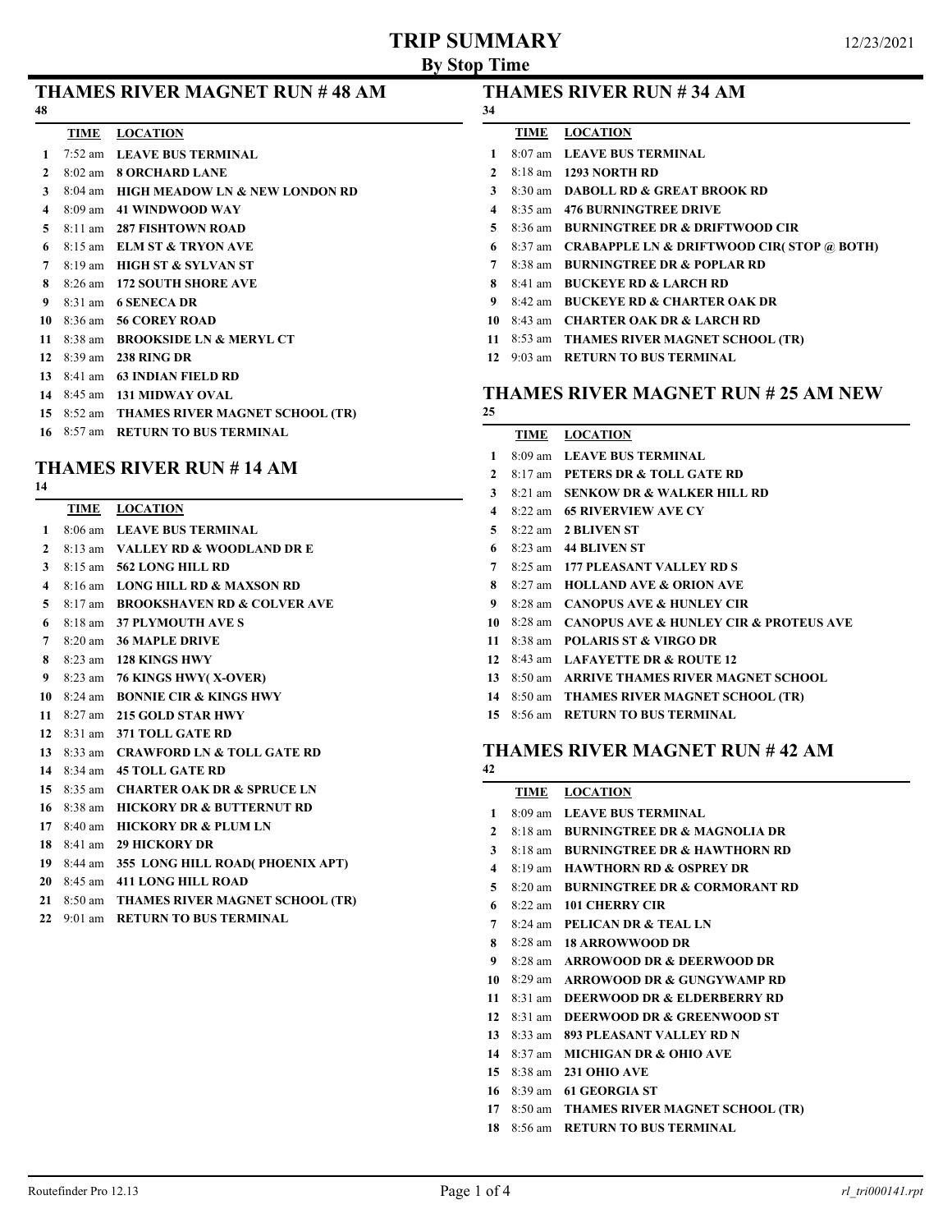# **TRIP SUMMARY**

|    | <b>THAMES RIVER MAGNET RUN #48 AM</b> |  |  |
|----|---------------------------------------|--|--|
| 48 |                                       |  |  |

#### **TIME LOCATION**

- 7:52 am **LEAVE BUS TERMINAL**
- 8:02 am **8 ORCHARD LANE**
- 8:04 am **HIGH MEADOW LN & NEW LONDON RD**
- 8:09 am **41 WINDWOOD WAY**
- 8:11 am **287 FISHTOWN ROAD**
- 8:15 am **ELM ST & TRYON AVE**
- 8:19 am **HIGH ST & SYLVAN ST**
- 8:26 am **172 SOUTH SHORE AVE**
- 8:31 am **6 SENECA DR**
- 8:36 am **56 COREY ROAD**
- 8:38 am **BROOKSIDE LN & MERYL CT**
- 8:39 am **238 RING DR**
- 8:41 am **63 INDIAN FIELD RD**
- 8:45 am **131 MIDWAY OVAL**
- 8:52 am **THAMES RIVER MAGNET SCHOOL (TR)**
- 8:57 am **RETURN TO BUS TERMINAL**

# **THAMES RIVER RUN # 14 AM**

- **TIME LOCATION**
- 8:06 am **LEAVE BUS TERMINAL**
- 8:13 am **VALLEY RD & WOODLAND DR E**
- 8:15 am **562 LONG HILL RD**
- 8:16 am **LONG HILL RD & MAXSON RD**
- 8:17 am **BROOKSHAVEN RD & COLVER AVE**
- 8:18 am **37 PLYMOUTH AVE S**
- 8:20 am **36 MAPLE DRIVE**
- 8:23 am **128 KINGS HWY**
- 8:23 am **76 KINGS HWY( X-OVER)**
- 8:24 am **BONNIE CIR & KINGS HWY**
- 8:27 am **215 GOLD STAR HWY**
- 8:31 am **371 TOLL GATE RD**
- 8:33 am **CRAWFORD LN & TOLL GATE RD**
- 8:34 am **45 TOLL GATE RD**
- 8:35 am **CHARTER OAK DR & SPRUCE LN**
- 8:38 am **HICKORY DR & BUTTERNUT RD**
- 8:40 am **HICKORY DR & PLUM LN**
- 8:41 am **29 HICKORY DR**
- 8:44 am **355 LONG HILL ROAD( PHOENIX APT)**
- 8:45 am **411 LONG HILL ROAD**
- 8:50 am **THAMES RIVER MAGNET SCHOOL (TR)**
- 9:01 am **RETURN TO BUS TERMINAL**

## **THAMES RIVER RUN # 34 AM**

- **TIME LOCATION**
- 8:07 am **LEAVE BUS TERMINAL**
- 8:18 am **1293 NORTH RD**
- 8:30 am **DABOLL RD & GREAT BROOK RD**
- 8:35 am **476 BURNINGTREE DRIVE**
- 8:36 am **BURNINGTREE DR & DRIFTWOOD CIR**
- 8:37 am **CRABAPPLE LN & DRIFTWOOD CIR( STOP @ BOTH)**
- 8:38 am **BURNINGTREE DR & POPLAR RD**
- 8:41 am **BUCKEYE RD & LARCH RD**
- 8:42 am **BUCKEYE RD & CHARTER OAK DR**
- 8:43 am **CHARTER OAK DR & LARCH RD**
- 8:53 am **THAMES RIVER MAGNET SCHOOL (TR)**
- 9:03 am **RETURN TO BUS TERMINAL**

## **THAMES RIVER MAGNET RUN # 25 AM NEW**

## **TIME LOCATION** 8:09 am **LEAVE BUS TERMINAL** 8:17 am **PETERS DR & TOLL GATE RD** 8:21 am **SENKOW DR & WALKER HILL RD** 8:22 am **65 RIVERVIEW AVE CY** 8:22 am **2 BLIVEN ST** 8:23 am **44 BLIVEN ST** 8:25 am **177 PLEASANT VALLEY RD S** 8:27 am **HOLLAND AVE & ORION AVE** 8:28 am **CANOPUS AVE & HUNLEY CIR** 8:28 am **CANOPUS AVE & HUNLEY CIR & PROTEUS AVE** 8:38 am **POLARIS ST & VIRGO DR** 8:43 am **LAFAYETTE DR & ROUTE 12** 8:50 am **ARRIVE THAMES RIVER MAGNET SCHOOL**

- 
- 8:50 am **THAMES RIVER MAGNET SCHOOL (TR)**
- 8:56 am **RETURN TO BUS TERMINAL**

## **THAMES RIVER MAGNET RUN # 42 AM**

## **TIME LOCATION** 8:09 am **LEAVE BUS TERMINAL** 8:18 am **BURNINGTREE DR & MAGNOLIA DR** 8:18 am **BURNINGTREE DR & HAWTHORN RD** 8:19 am **HAWTHORN RD & OSPREY DR** 8:20 am **BURNINGTREE DR & CORMORANT RD** 8:22 am **101 CHERRY CIR** 8:24 am **PELICAN DR & TEAL LN** 8:28 am **18 ARROWWOOD DR** 8:28 am **ARROWOOD DR & DEERWOOD DR** 8:29 am **ARROWOOD DR & GUNGYWAMP RD** 8:31 am **DEERWOOD DR & ELDERBERRY RD** 8:31 am **DEERWOOD DR & GREENWOOD ST** 8:33 am **893 PLEASANT VALLEY RD N** 8:37 am **MICHIGAN DR & OHIO AVE** 8:38 am **231 OHIO AVE** 8:39 am **61 GEORGIA ST** 8:50 am **THAMES RIVER MAGNET SCHOOL (TR)** 8:56 am **RETURN TO BUS TERMINAL**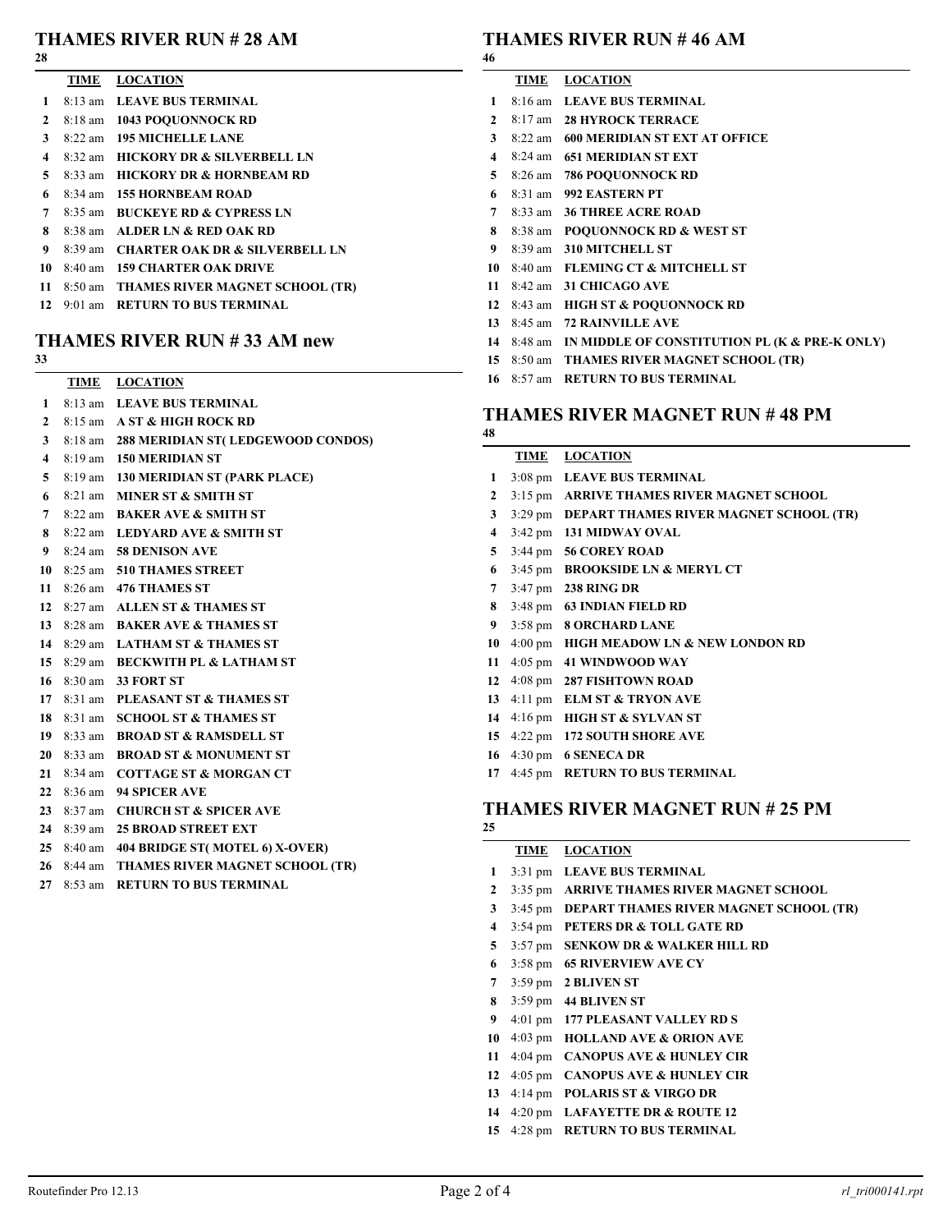#### **THAMES RIVER RUN # 28 AM**

|                | TIME LOCATION                        |
|----------------|--------------------------------------|
|                | 1 8:13 am LEAVE BUS TERMINAL         |
| $\overline{2}$ | 8:18 am 1043 POOUONNOCK RD           |
| $\mathbf{3}$   | 8:22 am 195 MICHELLE LANE            |
|                | 4 8:32 am HICKORY DR & SILVERBELL LN |
|                | 5 8:33 am HICKORY DR & HORNBEAM RD   |
| 6              | 8:34 am 155 HORNBEAM ROAD            |
|                | 7 8:35 am BUCKEYE RD & CYPRESS LN    |
|                |                                      |

- 8:38 am **ALDER LN & RED OAK RD**
- 8:39 am **CHARTER OAK DR & SILVERBELL LN**
- 8:40 am **159 CHARTER OAK DRIVE**
- 8:50 am **THAMES RIVER MAGNET SCHOOL (TR)**
- 9:01 am **RETURN TO BUS TERMINAL**

# **THAMES RIVER RUN # 33 AM new**

#### 

| TIME | <b>LOCATION</b>       |  |  |
|------|-----------------------|--|--|
|      | - - - - - - - - - - - |  |  |

- 8:13 am **LEAVE BUS TERMINAL** 8:15 am **A ST & HIGH ROCK RD**
- 8:18 am **288 MERIDIAN ST( LEDGEWOOD CONDOS)**
- 8:19 am **150 MERIDIAN ST**
- 8:19 am **130 MERIDIAN ST (PARK PLACE)**
- 8:21 am **MINER ST & SMITH ST**
- 8:22 am **BAKER AVE & SMITH ST**
- 8:22 am **LEDYARD AVE & SMITH ST**
- 8:24 am **58 DENISON AVE**
- 8:25 am **510 THAMES STREET**
- 8:26 am **476 THAMES ST**
- 8:27 am **ALLEN ST & THAMES ST**
- 8:28 am **BAKER AVE & THAMES ST**
- 8:29 am **LATHAM ST & THAMES ST**
- 8:29 am **BECKWITH PL & LATHAM ST**
- 8:30 am **33 FORT ST**
- 8:31 am **PLEASANT ST & THAMES ST**
- 8:31 am **SCHOOL ST & THAMES ST**
- 8:33 am **BROAD ST & RAMSDELL ST**
- 8:33 am **BROAD ST & MONUMENT ST**
- 8:34 am **COTTAGE ST & MORGAN CT**
- 8:36 am **94 SPICER AVE**
- 8:37 am **CHURCH ST & SPICER AVE**
- 8:39 am **25 BROAD STREET EXT**
- 8:40 am **404 BRIDGE ST( MOTEL 6) X-OVER)**
- 8:44 am **THAMES RIVER MAGNET SCHOOL (TR)**
- 8:53 am **RETURN TO BUS TERMINAL**

# **THAMES RIVER RUN # 46 AM**

- **TIME LOCATION** 8:16 am **LEAVE BUS TERMINAL** 8:17 am **28 HYROCK TERRACE** 8:22 am **600 MERIDIAN ST EXT AT OFFICE** 8:24 am **651 MERIDIAN ST EXT** 8:26 am **786 POQUONNOCK RD** 8:31 am **992 EASTERN PT** 8:33 am **36 THREE ACRE ROAD** 8:38 am **POQUONNOCK RD & WEST ST** 8:39 am **310 MITCHELL ST** 8:40 am **FLEMING CT & MITCHELL ST** 8:42 am **31 CHICAGO AVE** 8:43 am **HIGH ST & POQUONNOCK RD** 8:45 am **72 RAINVILLE AVE**
- 8:48 am **IN MIDDLE OF CONSTITUTION PL (K & PRE-K ONLY)**
- 8:50 am **THAMES RIVER MAGNET SCHOOL (TR)**
- 8:57 am **RETURN TO BUS TERMINAL**

# **THAMES RIVER MAGNET RUN # 48 PM**

| TIME              | <b>LOCATION</b>                          |
|-------------------|------------------------------------------|
| $3:08 \text{ pm}$ | <b>LEAVE BUS TERMINAL</b>                |
| $3:15$ pm         | <b>ARRIVE THAMES RIVER MAGNET SCHOOL</b> |
| $3:29$ pm         | DEPART THAMES RIVER MAGNET SCHOOL (TR)   |
| $3:42 \text{ pm}$ | <b>131 MIDWAY OVAL</b>                   |
| $3:44 \text{ pm}$ | <b>56 COREY ROAD</b>                     |
| $3:45 \text{ pm}$ | <b>BROOKSIDE LN &amp; MERYL CT</b>       |
| $3:47 \text{ pm}$ | 238 RING DR                              |
|                   | 3:48 pm 63 INDIAN FIELD RD               |
| $3:58 \text{ pm}$ | <b>8 ORCHARD LANE</b>                    |
| $4:00 \text{ pm}$ | HIGH MEADOW LN & NEW LONDON RD           |
| $4:05$ pm         | <b>41 WINDWOOD WAY</b>                   |
| $4:08 \text{ pm}$ | <b>287 FISHTOWN ROAD</b>                 |
| $4:11$ pm         | <b>ELM ST &amp; TRYON AVE</b>            |
| $4:16 \text{ pm}$ | <b>HIGH ST &amp; SYLVAN ST</b>           |
| $4:22$ pm         | <b>172 SOUTH SHORE AVE</b>               |
|                   |                                          |

- 4:30 pm **6 SENECA DR**
- 4:45 pm **RETURN TO BUS TERMINAL**

## **THAMES RIVER MAGNET RUN # 25 PM**

|    | TIME              | <b>LOCATION</b>                           |
|----|-------------------|-------------------------------------------|
| 1  |                   | 3:31 pm LEAVE BUS TERMINAL                |
| 2  |                   | 3:35 pm ARRIVE THAMES RIVER MAGNET SCHOOL |
| 3  | $3:45 \text{ pm}$ | DEPART THAMES RIVER MAGNET SCHOOL (TR)    |
| 4  |                   | 3:54 pm PETERS DR & TOLL GATE RD          |
| 5  | $3:57$ pm         | <b>SENKOW DR &amp; WALKER HILL RD</b>     |
| 6  | $3:58 \text{ pm}$ | <b>65 RIVERVIEW AVE CY</b>                |
| 7  |                   | $3:59 \text{ pm}$ 2 BLIVEN ST             |
| 8  |                   | $3:59 \text{ pm}$ 44 BLIVEN ST            |
| 9  |                   | 4:01 pm 177 PLEASANT VALLEY RD S          |
| 10 | $4:03$ pm         | <b>HOLLAND AVE &amp; ORION AVE</b>        |
| 11 |                   | 4:04 pm CANOPUS AVE & HUNLEY CIR          |
| 12 | $4:05 \text{ pm}$ | <b>CANOPUS AVE &amp; HUNLEY CIR</b>       |
| 13 | $4:14 \text{ pm}$ | <b>POLARIS ST &amp; VIRGO DR</b>          |
| 14 |                   | 4:20 pm LAFAYETTE DR $&$ ROUTE 12         |

4:28 pm **RETURN TO BUS TERMINAL**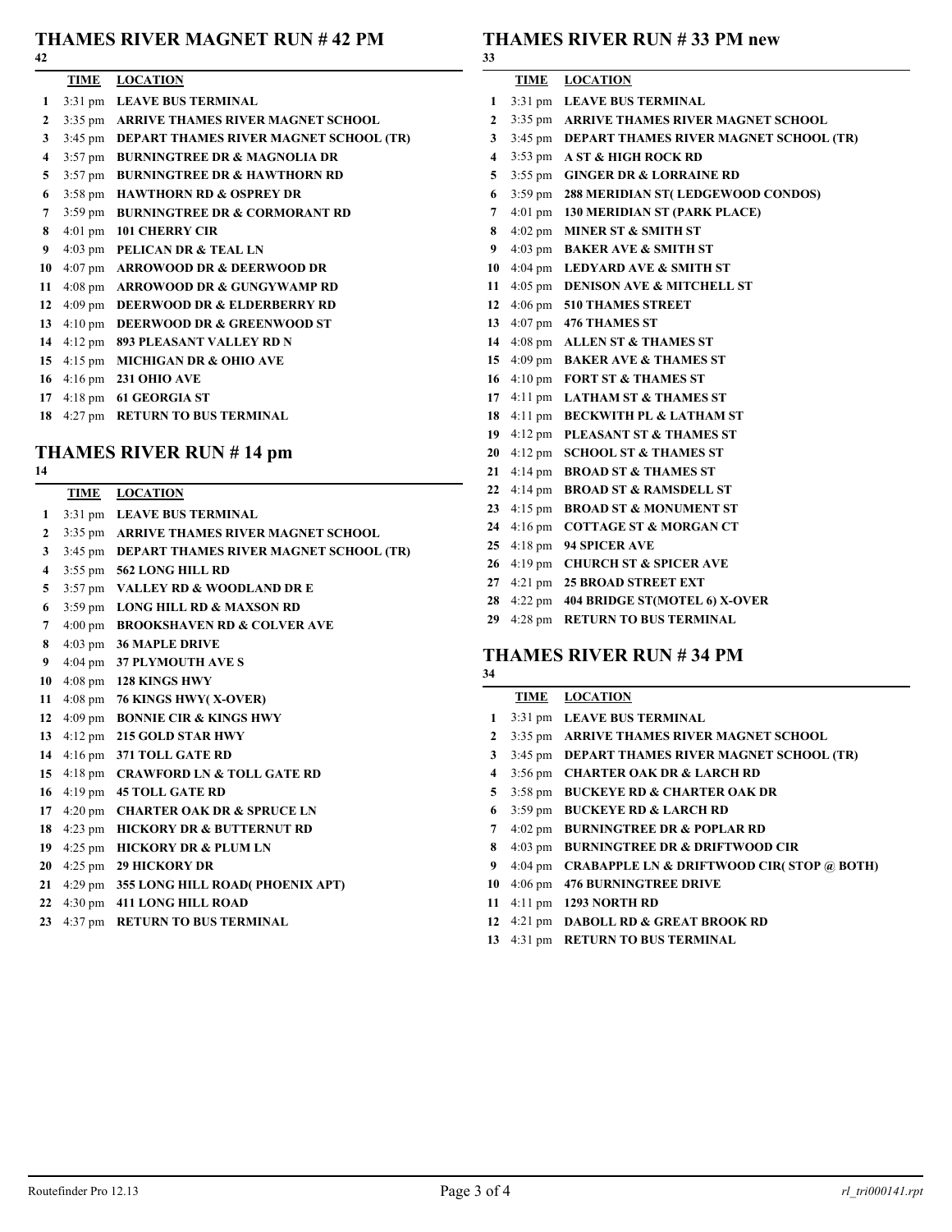## **THAMES RIVER MAGNET RUN # 42 PM**

|                | TIME | <b>LOCATION</b>                                |
|----------------|------|------------------------------------------------|
| 1              |      | 3:31 pm LEAVE BUS TERMINAL                     |
| $\mathbf{2}$   |      | 3:35 pm ARRIVE THAMES RIVER MAGNET SCHOOL      |
| 3 <sup>7</sup> |      | 3:45 pm DEPART THAMES RIVER MAGNET SCHOOL (TR) |
| 4              |      | 3:57 pm BURNINGTREE DR & MAGNOLIA DR           |
| 5              |      | 3:57 pm BURNINGTREE DR & HAWTHORN RD           |
| 6              |      | 3:58 pm HAWTHORN RD & OSPREY DR                |
| 7 <sup>7</sup> |      | 3:59 pm BURNINGTREE DR & CORMORANT RD          |
| 8              |      | 4:01 pm 101 CHERRY CIR                         |
| 9              |      | 4:03 pm PELICAN DR & TEAL LN                   |
|                |      | 10 4:07 pm ARROWOOD DR & DEERWOOD DR           |
|                |      | 11 4:08 pm ARROWOOD DR & GUNGYWAMP RD          |
| 12             |      | 4:09 pm DEERWOOD DR & ELDERBERRY RD            |
| 13             |      | 4:10 pm DEERWOOD DR & GREENWOOD ST             |
|                |      | 14 4:12 pm 893 PLEASANT VALLEY RD N            |
|                |      | 15 4:15 pm MICHIGAN DR & OHIO AVE              |
|                |      | 16 4:16 pm 231 OHIO AVE                        |
| 17             |      | 4:18 pm 61 GEORGIA ST                          |
| 18             |      | 4:27 pm RETURN TO BUS TERMINAL                 |

# **THAMES RIVER RUN # 14 pm**

## **TIME LOCATION**

- 3:31 pm **LEAVE BUS TERMINAL**
- 3:35 pm **ARRIVE THAMES RIVER MAGNET SCHOOL**
- 3:45 pm **DEPART THAMES RIVER MAGNET SCHOOL (TR)**
- 3:55 pm **562 LONG HILL RD**
- 3:57 pm **VALLEY RD & WOODLAND DR E**
- 3:59 pm **LONG HILL RD & MAXSON RD**
- 4:00 pm **BROOKSHAVEN RD & COLVER AVE**
- 4:03 pm **36 MAPLE DRIVE**
- 4:04 pm **37 PLYMOUTH AVE S**
- 4:08 pm **128 KINGS HWY**
- 4:08 pm **76 KINGS HWY( X-OVER)**
- 4:09 pm **BONNIE CIR & KINGS HWY**
- 4:12 pm **215 GOLD STAR HWY**
- 4:16 pm **371 TOLL GATE RD**
- 4:18 pm **CRAWFORD LN & TOLL GATE RD**
- 4:19 pm **45 TOLL GATE RD**
- 4:20 pm **CHARTER OAK DR & SPRUCE LN**
- 4:23 pm **HICKORY DR & BUTTERNUT RD**
- 4:25 pm **HICKORY DR & PLUM LN**
- 4:25 pm **29 HICKORY DR**
- 4:29 pm **355 LONG HILL ROAD( PHOENIX APT)**
- 4:30 pm **411 LONG HILL ROAD**
- 4:37 pm **RETURN TO BUS TERMINAL**

# **THAMES RIVER RUN # 33 PM new**

| 33                      |                   |                                        |
|-------------------------|-------------------|----------------------------------------|
|                         | TIME              | <b>LOCATION</b>                        |
| 1                       | $3:31$ pm         | <b>LEAVE BUS TERMINAL</b>              |
| $\overline{2}$          | $3:35$ pm         | ARRIVE THAMES RIVER MAGNET SCHOOL      |
| 3                       | $3:45$ pm         | DEPART THAMES RIVER MAGNET SCHOOL (TR) |
| $\overline{\mathbf{4}}$ | $3:53$ pm         | A ST & HIGH ROCK RD                    |
| 5                       | $3:55$ pm         | <b>GINGER DR &amp; LORRAINE RD</b>     |
| 6                       | $3:59$ pm         | 288 MERIDIAN ST(LEDGEWOOD CONDOS)      |
| 7                       | $4:01 \text{ pm}$ | 130 MERIDIAN ST (PARK PLACE)           |
| 8                       | $4:02 \text{ pm}$ | <b>MINER ST &amp; SMITH ST</b>         |
| 9                       | $4:03 \text{ pm}$ | <b>BAKER AVE &amp; SMITH ST</b>        |
| 10                      | $4:04 \text{ pm}$ | <b>LEDYARD AVE &amp; SMITH ST</b>      |
| 11                      | $4:05$ pm         | <b>DENISON AVE &amp; MITCHELL ST</b>   |
| 12                      | $4:06$ pm         | <b>510 THAMES STREET</b>               |
| 13                      | $4:07 \text{ pm}$ | 476 THAMES ST                          |
| 14                      | $4:08 \text{ pm}$ | <b>ALLEN ST &amp; THAMES ST</b>        |
| 15                      | $4:09$ pm         | <b>BAKER AVE &amp; THAMES ST</b>       |
| 16                      | $4:10 \text{ pm}$ | <b>FORT ST &amp; THAMES ST</b>         |
| 17                      | $4:11$ pm         | <b>LATHAM ST &amp; THAMES ST</b>       |
| 18                      | $4:11$ pm         | <b>BECKWITH PL &amp; LATHAM ST</b>     |
| 19                      | $4:12 \text{ pm}$ | PLEASANT ST & THAMES ST                |
| 20                      | $4:12 \text{ pm}$ | <b>SCHOOL ST &amp; THAMES ST</b>       |
| 21                      | $4:14 \text{ pm}$ | <b>BROAD ST &amp; THAMES ST</b>        |
| 22                      | $4:14$ pm         | <b>BROAD ST &amp; RAMSDELL ST</b>      |
| 23                      | $4:15 \text{ pm}$ | <b>BROAD ST &amp; MONUMENT ST</b>      |
| 24                      | $4:16$ pm         | <b>COTTAGE ST &amp; MORGAN CT</b>      |
| 25                      |                   | 4:18 pm 94 SPICER AVE                  |
| 26                      | $4:19$ pm         | <b>CHURCH ST &amp; SPICER AVE</b>      |
| 27                      | $4:21$ pm         | <b>25 BROAD STREET EXT</b>             |
| 28                      | $4:22$ pm         | <b>404 BRIDGE ST(MOTEL 6) X-OVER</b>   |
|                         |                   |                                        |

4:28 pm **RETURN TO BUS TERMINAL**

#### **THAMES RIVER RUN # 34 PM**

## **TIME LOCATION**

- 3:31 pm **LEAVE BUS TERMINAL** 3:35 pm **ARRIVE THAMES RIVER MAGNET SCHOOL** 3:45 pm **DEPART THAMES RIVER MAGNET SCHOOL (TR)** 3:56 pm **CHARTER OAK DR & LARCH RD** 3:58 pm **BUCKEYE RD & CHARTER OAK DR** 3:59 pm **BUCKEYE RD & LARCH RD** 4:02 pm **BURNINGTREE DR & POPLAR RD** 4:03 pm **BURNINGTREE DR & DRIFTWOOD CIR** 4:04 pm **CRABAPPLE LN & DRIFTWOOD CIR( STOP @ BOTH)** 4:06 pm **476 BURNINGTREE DRIVE** 4:11 pm **1293 NORTH RD** 4:21 pm **DABOLL RD & GREAT BROOK RD**
	- 4:31 pm **RETURN TO BUS TERMINAL**